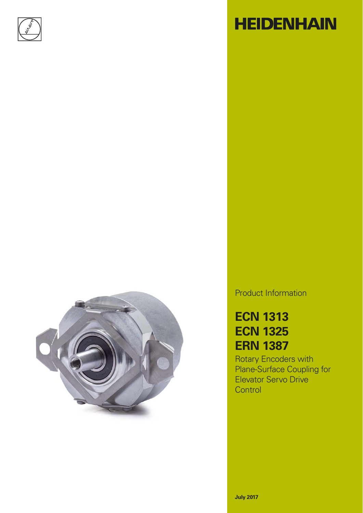



# **HEIDENHAIN**

Product Information

## **ECN 1313 ECN 1325 ERN 1387**

Rotary Encoders with Plane-Surface Coupling for Elevator Servo Drive **Control**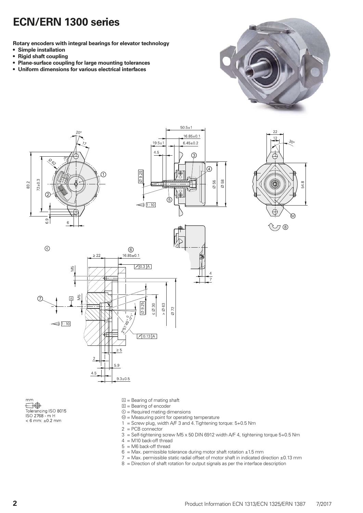### **ECN/ERN 1300 series**

**Rotary encoders with integral bearings for elevator technology**

- **Simple installation**
- **Rigid shaft coupling**
- **Plane-surface coupling for large mounting tolerances**
- **Uniform dimensions for various electrical interfaces**











Tolerancing ISO 8015<br>ISO 2768 - m H  $< 6$  mm:  $\pm 0.2$  mm

- $\mathbb{Z}$  = Bearing of mating shaft
- **= Bearing of encoder**
- $$\circledR$  = Required mating dimensions$
- $$\omega$  = Measuring point for operating temperature$
- 1 = Screw plug, width  $A/F$  3 and 4. Tightening torque:  $5+0.5$  Nm
- $2 = PCB$  connector
- 3 = Self-tightening screw M5 x 50 DIN 6912 width A/F 4, tightening torque 5+0.5 Nm
- 4 = M10 back-off thread
- 5 = M6 back-off thread
- $6$  = Max. permissible tolerance during motor shaft rotation  $\pm 1.5$  mm
- $7$  = Max. permissible static radial offset of motor shaft in indicated direction  $\pm 0.13$  mm
- 8 = Direction of shaft rotation for output signals as per the interface description

 $mm$ ⊟⊕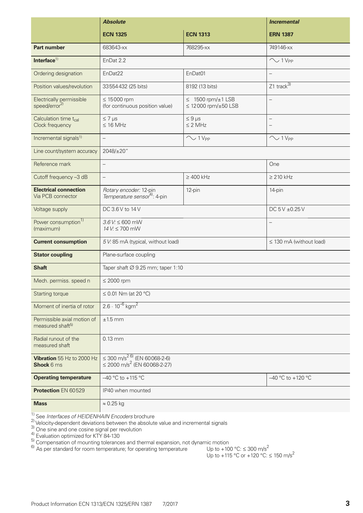|                                                             | <b>Absolute</b>                                                                               |                                                                | <b>Incremental</b>                     |  |  |  |  |  |
|-------------------------------------------------------------|-----------------------------------------------------------------------------------------------|----------------------------------------------------------------|----------------------------------------|--|--|--|--|--|
|                                                             | <b>ECN 1325</b>                                                                               | <b>ECN 1313</b>                                                | <b>ERN 1387</b>                        |  |  |  |  |  |
| <b>Part number</b>                                          | 683643-xx                                                                                     | 768295-xx                                                      | 749146-xx                              |  |  |  |  |  |
| Interface $1$                                               | EnDat 2.2                                                                                     |                                                                | $\sim$ 1 V <sub>PP</sub>               |  |  |  |  |  |
| Ordering designation                                        | EnDat22                                                                                       | EnDat01                                                        | $\overline{\phantom{m}}$               |  |  |  |  |  |
| Position values/revolution                                  | 33554432 (25 bits)                                                                            | 8192 (13 bits)                                                 | $Z1$ track <sup>3)</sup>               |  |  |  |  |  |
| Electrically permissible<br>speed/error <sup>2)</sup>       | $\leq 15000$ rpm<br>(for continuous position value)                                           | $\leq 1500$ rpm/ $\pm 1$ LSB<br>$\leq$ 12000 rpm/ $\pm$ 50 LSB | $\overline{\phantom{0}}$               |  |  |  |  |  |
| Calculation time t <sub>cal</sub><br>Clock frequency        | $\leq 7$ µs<br>$\leq$ 16 MHz                                                                  | $\leq 9$ µs<br>$\leq$ 2 MHz                                    | $\qquad \qquad -$<br>$\qquad \qquad -$ |  |  |  |  |  |
| Incremental signals <sup>1)</sup>                           | $\equiv$                                                                                      | $\sim$ 1 V <sub>PP</sub>                                       | $\sim$ 1 V <sub>PP</sub>               |  |  |  |  |  |
| Line count/system accuracy                                  | 2048/±20"                                                                                     |                                                                |                                        |  |  |  |  |  |
| Reference mark                                              | $\overline{\phantom{0}}$                                                                      |                                                                | One                                    |  |  |  |  |  |
| Cutoff frequency -3 dB                                      | $\overline{\phantom{0}}$                                                                      | $\geq 400$ kHz                                                 | $\geq$ 210 kHz                         |  |  |  |  |  |
| <b>Electrical connection</b><br>Via PCB connector           | Rotary encoder: 12-pin<br>Temperature sensor <sup>4)</sup> : 4-pin                            | 12-pin                                                         | 14-pin                                 |  |  |  |  |  |
| Voltage supply                                              | DC 3.6 V to 14 V                                                                              |                                                                | DC 5V ±0.25V                           |  |  |  |  |  |
| Power consumption <sup>1)</sup><br>(maximum)                | $3.6$ V: $\leq 600$ mW<br>14 V: ≤ 700 mW                                                      |                                                                | $\overline{\phantom{0}}$               |  |  |  |  |  |
| <b>Current consumption</b>                                  | 5 V: 85 mA (typical, without load)                                                            |                                                                | $\leq$ 130 mA (without load)           |  |  |  |  |  |
| <b>Stator coupling</b>                                      | Plane-surface coupling                                                                        |                                                                |                                        |  |  |  |  |  |
| <b>Shaft</b>                                                | Taper shaft $\varnothing$ 9.25 mm; taper 1:10                                                 |                                                                |                                        |  |  |  |  |  |
| Mech. permiss. speed n                                      | $\leq 2000$ rpm                                                                               |                                                                |                                        |  |  |  |  |  |
| Starting torque                                             | $\leq$ 0.01 Nm (at 20 °C)                                                                     |                                                                |                                        |  |  |  |  |  |
| Moment of inertia of rotor                                  | $2.6 \cdot 10^{-6}$ kgm <sup>2</sup>                                                          |                                                                |                                        |  |  |  |  |  |
| Permissible axial motion of<br>measured shaft <sup>5)</sup> | $±1.5$ mm                                                                                     |                                                                |                                        |  |  |  |  |  |
| Radial runout of the<br>measured shaft                      | $0.13$ mm                                                                                     |                                                                |                                        |  |  |  |  |  |
| Vibration 55 Hz to 2000 Hz<br><b>Shock 6 ms</b>             | $\leq$ 300 m/s <sup>2 6)</sup> (EN 60068-2-6)<br>$\leq$ 2000 m/s <sup>2</sup> (EN 60068-2-27) |                                                                |                                        |  |  |  |  |  |
| <b>Operating temperature</b>                                | $-40$ °C to +115 °C<br>$-40$ °C to +120 °C                                                    |                                                                |                                        |  |  |  |  |  |
| Protection EN 60529                                         | IP40 when mounted                                                                             |                                                                |                                        |  |  |  |  |  |
| <b>Mass</b>                                                 | $\approx 0.25$ kg                                                                             |                                                                |                                        |  |  |  |  |  |

1) See *Interfaces of HEIDENHAIN Encoders* brochure

 $2)$  Velocity-dependent deviations between the absolute value and incremental signals

 $\frac{3}{1}$  One sine and one cosine signal per revolution

 $^{4)}$  Evaluation optimized for KTY 84-130

 $^{5}$ ) Compensation of mounting tolerances and thermal expansion, not dynamic motion

<sup>6)</sup> As per standard for room temperature; for operating temperature  $U$  Up to +100 °C:  $\leq$  300 m/s<sup>2</sup>

Up to +100 °C:  $\leq$  300 m/s<sup>2</sup><br>Up to +115 °C or +120 °C:  $\leq$  150 m/s<sup>2</sup>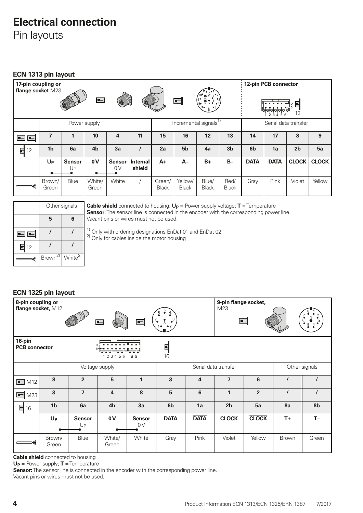### **Electrical connection**

Pin layouts

**ECN 1313 pin layout**

| 17-pin coupling or<br>flange socket M23<br>$\blacksquare$<br>30<br>♦ |                 |                     |                 |                                   | 参                         |                        | —∣                      |                       |                      |                | 12-pin PCB connector<br>2 3 4 5 6 | E<br>12        |              |
|----------------------------------------------------------------------|-----------------|---------------------|-----------------|-----------------------------------|---------------------------|------------------------|-------------------------|-----------------------|----------------------|----------------|-----------------------------------|----------------|--------------|
| Power supply                                                         |                 |                     |                 | Incremental signals <sup>1)</sup> |                           |                        |                         |                       | Serial data transfer |                |                                   |                |              |
| $\blacksquare$ $\blacksquare$                                        | 7               |                     | 10              | 4                                 | 11                        | 15                     | 16                      | 12                    | 13                   | 14             | 17                                | 8              | 9            |
| 더<br>12                                                              | 1 <sub>b</sub>  | 6a                  | 4 <sub>b</sub>  | 3a                                | $\prime$                  | 2a                     | 5 <sub>b</sub>          | 4a                    | 3 <sub>b</sub>       | 6 <sub>b</sub> | 1a                                | 2 <sub>b</sub> | 5a           |
|                                                                      | $U_{P}$         | <b>Sensor</b><br>Uр | 0V              | <b>Sensor</b><br>0V               | <b>Internal</b><br>shield | $A+$                   | $A-$                    | $B+$                  | $B -$                | <b>DATA</b>    | <b>DATA</b>                       | <b>CLOCK</b>   | <b>CLOCK</b> |
|                                                                      | Brown/<br>Green | Blue                | White/<br>Green | White                             |                           | Green/<br><b>Black</b> | Yellow/<br><b>Black</b> | Blue/<br><b>Black</b> | Red/<br><b>Black</b> | Gray           | Pink                              | Violet         | Yellow       |

|                   | Other signals       |                     |  |  |  |  |
|-------------------|---------------------|---------------------|--|--|--|--|
|                   | 5<br>6              |                     |  |  |  |  |
| 困困                |                     |                     |  |  |  |  |
| $\blacksquare$ 12 |                     |                     |  |  |  |  |
|                   | Brown <sup>2)</sup> | White <sup>2)</sup> |  |  |  |  |

**Cable shield** connected to housing;  $U_P$  = Power supply voltage; **T** = Temperature **Sensor:** The sensor line is connected in the encoder with the corresponding power line. Vacant pins or wires must not be used.

| 12 |                               |                     |
|----|-------------------------------|---------------------|
| ⋹  | $\sqrt{B}$ rown <sup>2)</sup> | White <sup>2)</sup> |
|    |                               |                     |

 $\frac{1}{2}$  Only with ordering designations EnDat 01 and EnDat 02  $^{2)}$  Only for cables inside the motor housing

### **ECN 1325 pin layout**

| 8-pin coupling or<br>9-pin flange socket,<br>flange socket, M12<br>M23<br>$\equiv$<br>$\equiv$<br>┝╾╽<br>B) |                 |                     |                         |                     |                                       |                | $6\degree$<br>$\frac{5}{2}$ |                |              |          |
|-------------------------------------------------------------------------------------------------------------|-----------------|---------------------|-------------------------|---------------------|---------------------------------------|----------------|-----------------------------|----------------|--------------|----------|
| 16-pin<br>E<br><b>PCB</b> connector<br>16<br>23456<br>89                                                    |                 |                     |                         |                     |                                       |                |                             |                |              |          |
| Voltage supply                                                                                              |                 |                     |                         |                     | Other signals<br>Serial data transfer |                |                             |                |              |          |
| $\equiv$ M12                                                                                                | 8               | $\overline{2}$      | 5                       | $\mathbf{1}$        | $\mathbf{3}$                          | $\overline{4}$ | $\overline{ }$              | 6              |              |          |
| M23<br>$\blacksquare$                                                                                       | $\overline{3}$  | $\overline{7}$      | $\overline{\mathbf{4}}$ | 8                   | $5\phantom{1}$                        | 6              | $\mathbf{1}$                | $\overline{2}$ | $\prime$     | $\prime$ |
| $\blacksquare$ 16                                                                                           | 1 <sub>b</sub>  | 6a                  | 4 <sub>b</sub>          | 3a                  | 6 <sub>b</sub>                        | 1a             | 2 <sub>b</sub>              | 5a             | 8a           | 8b       |
|                                                                                                             | $U_{P}$         | <b>Sensor</b><br>Up | 0V                      | <b>Sensor</b><br>0V | <b>DATA</b>                           | <b>DATA</b>    | <b>CLOCK</b>                | <b>CLOCK</b>   | $T +$        | $T -$    |
|                                                                                                             | Brown/<br>Green | Blue                | White/<br>Green         | White               | Gray                                  | Pink           | Violet                      | Yellow         | <b>Brown</b> | Green    |

**Cable shield** connected to housing

**UP** = Power supply; **T** = Temperature

**Sensor:** The sensor line is connected in the encoder with the corresponding power line. Vacant pins or wires must not be used.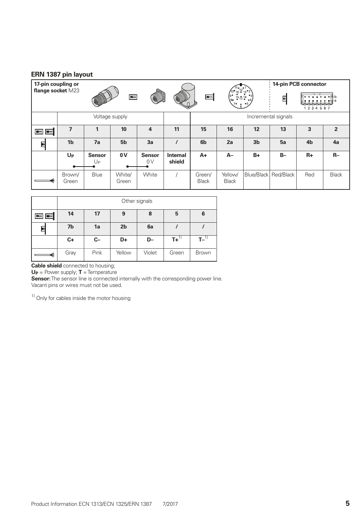#### **ERN 1387 pin layout**

| 17-pin coupling or                                |                 |                                 |                 |                         |                                                                                                  |                        |                         |                | 14-pin PCB connector |                |                |
|---------------------------------------------------|-----------------|---------------------------------|-----------------|-------------------------|--------------------------------------------------------------------------------------------------|------------------------|-------------------------|----------------|----------------------|----------------|----------------|
| flange socket M23<br>$\blacksquare$<br>S<br>§     |                 |                                 | E<br>BL         |                         | $16 - 13$ <sup>92</sup><br>$\begin{bmatrix} 5 & 15 & 14 & 3 \\ 8 & 6 & 17 & 6 & 4 \end{bmatrix}$ |                        | 뎐<br>2 3 4 5 6 7        |                |                      |                |                |
|                                                   | Voltage supply  |                                 |                 |                         |                                                                                                  | Incremental signals    |                         |                |                      |                |                |
| $\left  \bullet \right $ $\left  \bullet \right $ |                 |                                 | 10              | $\overline{\mathbf{4}}$ | 11                                                                                               | 15                     | 16                      | 12             | 13                   | 3              | $\overline{2}$ |
| 뎐                                                 | 1 <sub>b</sub>  | 7a                              | 5 <sub>b</sub>  | 3a                      |                                                                                                  | 6 <sub>b</sub>         | 2a                      | 3 <sub>b</sub> | 5a                   | 4 <sub>b</sub> | 4a             |
|                                                   | $U_{P}$         | <b>Sensor</b><br>U <sub>P</sub> | 0V              | <b>Sensor</b><br>0V     | <b>Internal</b><br>shield                                                                        | $A+$                   | $A-$                    | $B+$           | $B -$                | $R+$           | $R-$           |
|                                                   | Brown/<br>Green | Blue                            | White/<br>Green | White                   |                                                                                                  | Green/<br><b>Black</b> | Yellow/<br><b>Black</b> | Blue/Black     | Red/Black            | Red            | <b>Black</b>   |

|    | Other signals |       |                |        |                    |              |  |
|----|---------------|-------|----------------|--------|--------------------|--------------|--|
| 98 | 14            | 17    | 9              | 8      | 5                  | 6            |  |
| ⋤  | 7b            | 1a    | 2 <sub>b</sub> | 6a     |                    |              |  |
|    | $C+$          | $C -$ | D+             | D-     | $T+$ <sup>1)</sup> | $T-1$        |  |
|    | Gray          | Pink  | Yellow         | Violet | Green              | <b>Brown</b> |  |

**Cable shield** connected to housing;

**UP** = Power supply; **T** = Temperature

**Sensor:** The sensor line is connected internally with the corresponding power line. Vacant pins or wires must not be used.

 $1)$  Only for cables inside the motor housing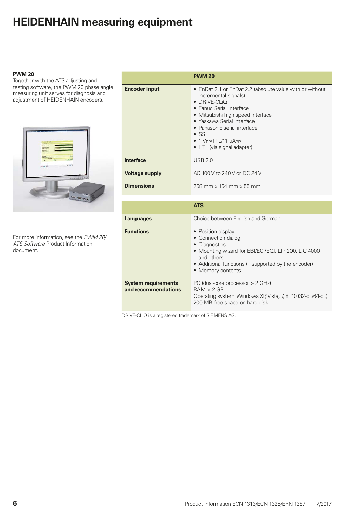### **HEIDENHAIN measuring equipment**

#### **PWM 20**

Together with the ATS adjusting and testing software, the PWM 20 phase angle measuring unit serves for diagnosis and adjustment of HEIDENHAIN encoders.



For more information, see the *PWM 20/ ATS Software* Product Information document*.*

|                       | <b>PWM 20</b>                                                                                                                                                                                                                                                                                                                                       |
|-----------------------|-----------------------------------------------------------------------------------------------------------------------------------------------------------------------------------------------------------------------------------------------------------------------------------------------------------------------------------------------------|
| <b>Encoder input</b>  | • EnDat 2.1 or EnDat 2.2 (absolute value with or without<br>incremental signals)<br>$\bullet$ DRIVE-CLIQ<br>• Fanuc Serial Interface<br>• Mitsubishi high speed interface<br>• Yaskawa Serial Interface<br>• Panasonic serial interface<br>$\bullet$ SSI<br>$\bullet$ 1 V <sub>PP</sub> /TTL/11 $\mu$ A <sub>PP</sub><br>• HTL (via signal adapter) |
| <b>Interface</b>      | <b>USB 2.0</b>                                                                                                                                                                                                                                                                                                                                      |
| <b>Voltage supply</b> | AC 100 V to 240 V or DC 24 V                                                                                                                                                                                                                                                                                                                        |
| <b>Dimensions</b>     | 258 mm x 154 mm x 55 mm                                                                                                                                                                                                                                                                                                                             |

|                                                   | <b>ATS</b>                                                                                                                                                                                                    |
|---------------------------------------------------|---------------------------------------------------------------------------------------------------------------------------------------------------------------------------------------------------------------|
| <b>Languages</b>                                  | Choice between English and German                                                                                                                                                                             |
| <b>Functions</b>                                  | • Position display<br>• Connection dialog<br>• Diagnostics<br>• Mounting wizard for EBI/ECI/EQI, LIP 200, LIC 4000<br>and others<br>• Additional functions (if supported by the encoder)<br>• Memory contents |
| <b>System requirements</b><br>and recommendations | PC (dual-core processor $> 2$ GHz)<br>RAM > 2 GB<br>Operating system: Windows XP, Vista, 7, 8, 10 (32-bit/64-bit)<br>200 MB free space on hard disk                                                           |

DRIVE-CLiQ is a registered trademark of SIEMENS AG.